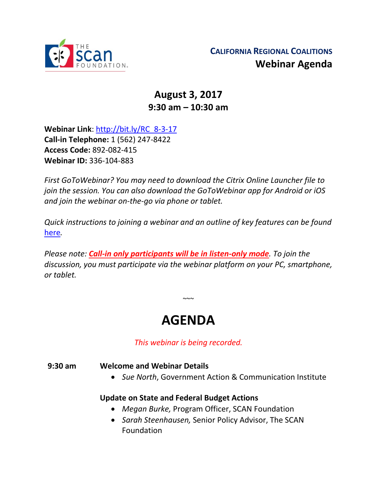

## **August 3, 2017 9:30 am – 10:30 am**

**Webinar Link**: [http://bit.ly/RC\\_8-3-17](http://bit.ly/RC_8-3-17) **Call-in Telephone:** 1 (562) 247-8422 **Access Code:** 892-082-415 **Webinar ID:** 336-104-883

*First GoToWebinar? You may need to download the Citrix Online Launcher file to join the session. You can also download the GoToWebinar app for Android or iOS and join the webinar on-the-go via phone or tablet.* 

*Quick instructions to joining a webinar and an outline of key features can be found*  [here](http://thescanfoundationsummit.homestead.com/GoToWebinar_Participant_Guide_3.pdf)*.*

*Please note: Call-in only participants will be in listen-only mode. To join the discussion, you must participate via the webinar platform on your PC, smartphone, or tablet.* 

# **AGENDA**

 $\sim$   $\sim$ 

*This webinar is being recorded.*

#### **9:30 am Welcome and Webinar Details**

• *Sue North*, Government Action & Communication Institute

#### **Update on State and Federal Budget Actions**

- *Megan Burke,* Program Officer, SCAN Foundation
- *Sarah Steenhausen,* Senior Policy Advisor, The SCAN Foundation